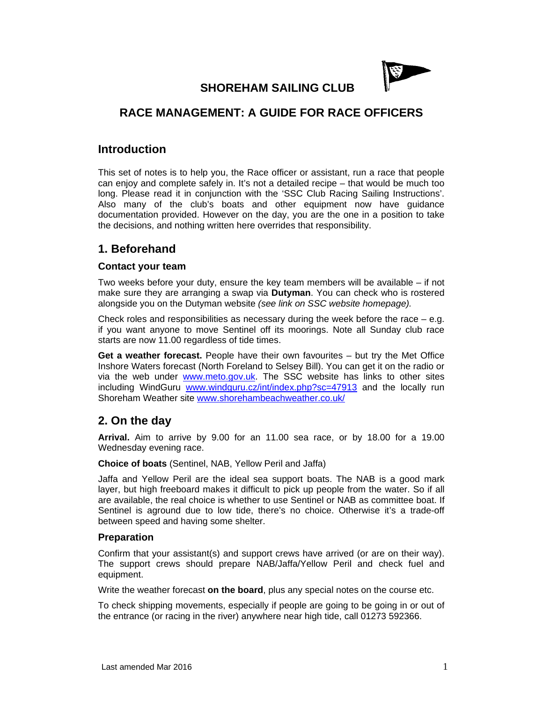

**SHOREHAM SAILING CLUB** 

# **RACE MANAGEMENT: A GUIDE FOR RACE OFFICERS**

## **Introduction**

This set of notes is to help you, the Race officer or assistant, run a race that people can enjoy and complete safely in. It's not a detailed recipe – that would be much too long. Please read it in conjunction with the 'SSC Club Racing Sailing Instructions'. Also many of the club's boats and other equipment now have guidance documentation provided. However on the day, you are the one in a position to take the decisions, and nothing written here overrides that responsibility.

## **1. Beforehand**

### **Contact your team**

Two weeks before your duty, ensure the key team members will be available – if not make sure they are arranging a swap via **Dutyman**. You can check who is rostered alongside you on the Dutyman website *(see link on SSC website homepage).*

Check roles and responsibilities as necessary during the week before the race  $-e.g.$ if you want anyone to move Sentinel off its moorings. Note all Sunday club race starts are now 11.00 regardless of tide times.

**Get a weather forecast.** People have their own favourites – but try the Met Office Inshore Waters forecast (North Foreland to Selsey Bill). You can get it on the radio or via the web under www.meto.gov.uk. The SSC website has links to other sites including WindGuru www.windguru.cz/int/index.php?sc=47913 and the locally run Shoreham Weather site www.shorehambeachweather.co.uk/

## **2. On the day**

**Arrival.** Aim to arrive by 9.00 for an 11.00 sea race, or by 18.00 for a 19.00 Wednesday evening race.

#### **Choice of boats** (Sentinel, NAB, Yellow Peril and Jaffa)

Jaffa and Yellow Peril are the ideal sea support boats. The NAB is a good mark layer, but high freeboard makes it difficult to pick up people from the water. So if all are available, the real choice is whether to use Sentinel or NAB as committee boat. If Sentinel is aground due to low tide, there's no choice. Otherwise it's a trade-off between speed and having some shelter.

#### **Preparation**

Confirm that your assistant(s) and support crews have arrived (or are on their way). The support crews should prepare NAB/Jaffa/Yellow Peril and check fuel and equipment.

Write the weather forecast **on the board**, plus any special notes on the course etc.

To check shipping movements, especially if people are going to be going in or out of the entrance (or racing in the river) anywhere near high tide, call 01273 592366.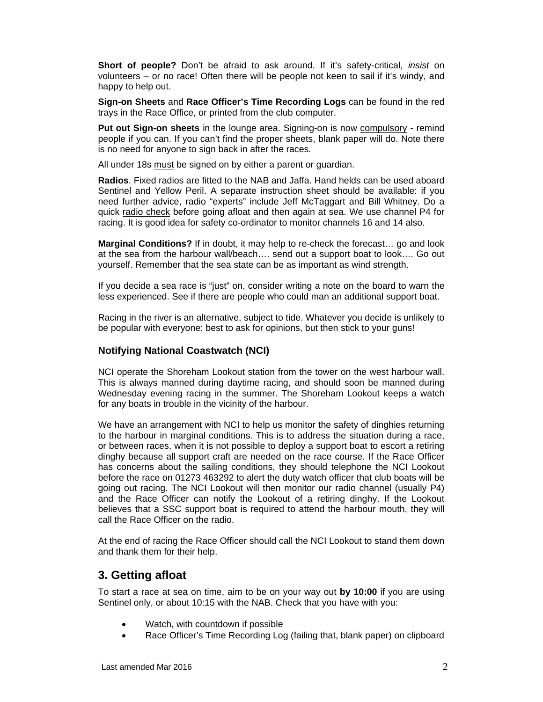**Short of people?** Don't be afraid to ask around. If it's safety-critical, *insist* on volunteers – or no race! Often there will be people not keen to sail if it's windy, and happy to help out.

**Sign-on Sheets** and **Race Officer's Time Recording Logs** can be found in the red trays in the Race Office, or printed from the club computer.

**Put out Sign-on sheets** in the lounge area. Signing-on is now compulsory - remind people if you can. If you can't find the proper sheets, blank paper will do. Note there is no need for anyone to sign back in after the races.

All under 18s must be signed on by either a parent or guardian.

**Radios**. Fixed radios are fitted to the NAB and Jaffa. Hand helds can be used aboard Sentinel and Yellow Peril. A separate instruction sheet should be available: if you need further advice, radio "experts" include Jeff McTaggart and Bill Whitney. Do a quick radio check before going afloat and then again at sea. We use channel P4 for racing. It is good idea for safety co-ordinator to monitor channels 16 and 14 also.

**Marginal Conditions?** If in doubt, it may help to re-check the forecast… go and look at the sea from the harbour wall/beach…. send out a support boat to look…. Go out yourself. Remember that the sea state can be as important as wind strength.

If you decide a sea race is "just" on, consider writing a note on the board to warn the less experienced. See if there are people who could man an additional support boat.

Racing in the river is an alternative, subject to tide. Whatever you decide is unlikely to be popular with everyone: best to ask for opinions, but then stick to your guns!

### **Notifying National Coastwatch (NCI)**

NCI operate the Shoreham Lookout station from the tower on the west harbour wall. This is always manned during daytime racing, and should soon be manned during Wednesday evening racing in the summer. The Shoreham Lookout keeps a watch for any boats in trouble in the vicinity of the harbour.

We have an arrangement with NCI to help us monitor the safety of dinghies returning to the harbour in marginal conditions. This is to address the situation during a race, or between races, when it is not possible to deploy a support boat to escort a retiring dinghy because all support craft are needed on the race course. If the Race Officer has concerns about the sailing conditions, they should telephone the NCI Lookout before the race on 01273 463292 to alert the duty watch officer that club boats will be going out racing. The NCI Lookout will then monitor our radio channel (usually P4) and the Race Officer can notify the Lookout of a retiring dinghy. If the Lookout believes that a SSC support boat is required to attend the harbour mouth, they will call the Race Officer on the radio.

At the end of racing the Race Officer should call the NCI Lookout to stand them down and thank them for their help.

## **3. Getting afloat**

To start a race at sea on time, aim to be on your way out **by 10:00** if you are using Sentinel only, or about 10:15 with the NAB. Check that you have with you:

- Watch, with countdown if possible
- Race Officer's Time Recording Log (failing that, blank paper) on clipboard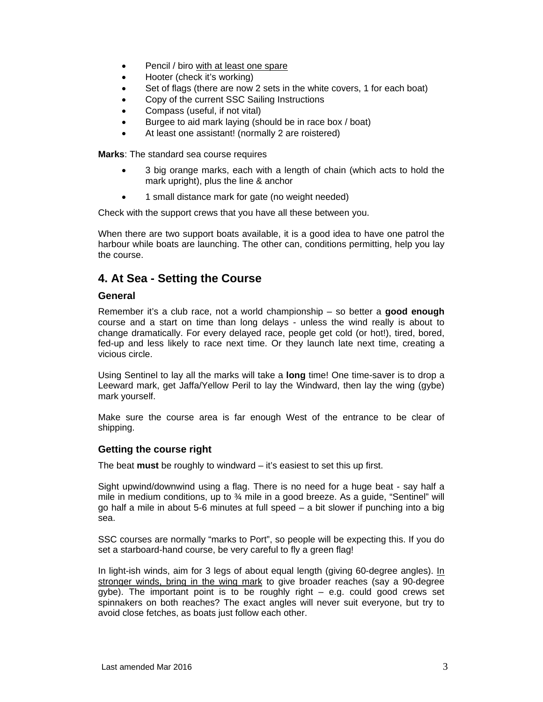- Pencil / biro with at least one spare
- Hooter (check it's working)
- Set of flags (there are now 2 sets in the white covers, 1 for each boat)
- Copy of the current SSC Sailing Instructions
- Compass (useful, if not vital)
- Burgee to aid mark laying (should be in race box / boat)
- At least one assistant! (normally 2 are roistered)

**Marks**: The standard sea course requires

- 3 big orange marks, each with a length of chain (which acts to hold the mark upright), plus the line & anchor
- 1 small distance mark for gate (no weight needed)

Check with the support crews that you have all these between you.

When there are two support boats available, it is a good idea to have one patrol the harbour while boats are launching. The other can, conditions permitting, help you lay the course.

## **4. At Sea - Setting the Course**

#### **General**

Remember it's a club race, not a world championship – so better a **good enough** course and a start on time than long delays - unless the wind really is about to change dramatically. For every delayed race, people get cold (or hot!), tired, bored, fed-up and less likely to race next time. Or they launch late next time, creating a vicious circle.

Using Sentinel to lay all the marks will take a **long** time! One time-saver is to drop a Leeward mark, get Jaffa/Yellow Peril to lay the Windward, then lay the wing (gybe) mark yourself.

Make sure the course area is far enough West of the entrance to be clear of shipping.

#### **Getting the course right**

The beat **must** be roughly to windward – it's easiest to set this up first.

Sight upwind/downwind using a flag. There is no need for a huge beat - say half a mile in medium conditions, up to ¾ mile in a good breeze. As a guide, "Sentinel" will go half a mile in about 5-6 minutes at full speed – a bit slower if punching into a big sea.

SSC courses are normally "marks to Port", so people will be expecting this. If you do set a starboard-hand course, be very careful to fly a green flag!

In light-ish winds, aim for 3 legs of about equal length (giving 60-degree angles). In stronger winds, bring in the wing mark to give broader reaches (say a 90-degree  $q\nu$ be). The important point is to be roughly right – e.g. could good crews set spinnakers on both reaches? The exact angles will never suit everyone, but try to avoid close fetches, as boats just follow each other.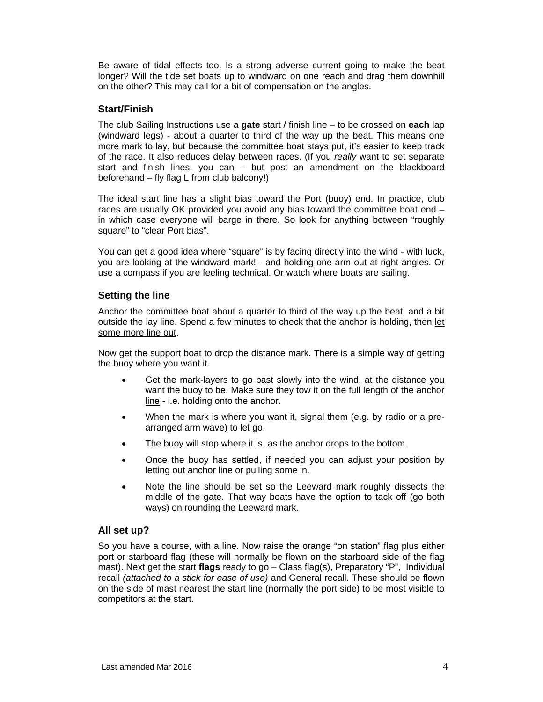Be aware of tidal effects too. Is a strong adverse current going to make the beat longer? Will the tide set boats up to windward on one reach and drag them downhill on the other? This may call for a bit of compensation on the angles.

### **Start/Finish**

The club Sailing Instructions use a **gate** start / finish line – to be crossed on **each** lap (windward legs) - about a quarter to third of the way up the beat. This means one more mark to lay, but because the committee boat stays put, it's easier to keep track of the race. It also reduces delay between races. (If you *really* want to set separate start and finish lines, you can – but post an amendment on the blackboard beforehand – fly flag L from club balcony!)

The ideal start line has a slight bias toward the Port (buoy) end. In practice, club races are usually OK provided you avoid any bias toward the committee boat end – in which case everyone will barge in there. So look for anything between "roughly square" to "clear Port bias".

You can get a good idea where "square" is by facing directly into the wind - with luck, you are looking at the windward mark! - and holding one arm out at right angles. Or use a compass if you are feeling technical. Or watch where boats are sailing.

### **Setting the line**

Anchor the committee boat about a quarter to third of the way up the beat, and a bit outside the lay line. Spend a few minutes to check that the anchor is holding, then let some more line out.

Now get the support boat to drop the distance mark. There is a simple way of getting the buoy where you want it.

- Get the mark-layers to go past slowly into the wind, at the distance you want the buoy to be. Make sure they tow it on the full length of the anchor line - i.e. holding onto the anchor.
- When the mark is where you want it, signal them (e.g. by radio or a prearranged arm wave) to let go.
- The buoy will stop where it is, as the anchor drops to the bottom.
- Once the buoy has settled, if needed you can adjust your position by letting out anchor line or pulling some in.
- Note the line should be set so the Leeward mark roughly dissects the middle of the gate. That way boats have the option to tack off (go both ways) on rounding the Leeward mark.

#### **All set up?**

So you have a course, with a line. Now raise the orange "on station" flag plus either port or starboard flag (these will normally be flown on the starboard side of the flag mast). Next get the start **flags** ready to go – Class flag(s), Preparatory "P", Individual recall *(attached to a stick for ease of use)* and General recall. These should be flown on the side of mast nearest the start line (normally the port side) to be most visible to competitors at the start.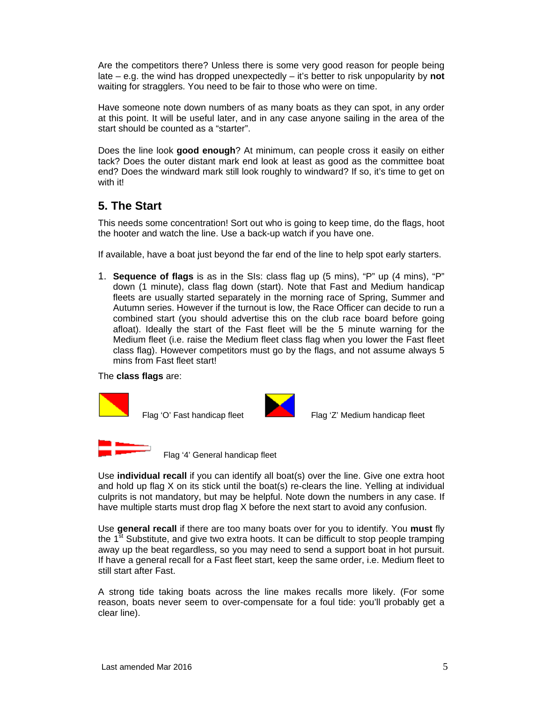Are the competitors there? Unless there is some very good reason for people being late – e.g. the wind has dropped unexpectedly – it's better to risk unpopularity by **not** waiting for stragglers. You need to be fair to those who were on time.

Have someone note down numbers of as many boats as they can spot, in any order at this point. It will be useful later, and in any case anyone sailing in the area of the start should be counted as a "starter".

Does the line look **good enough**? At minimum, can people cross it easily on either tack? Does the outer distant mark end look at least as good as the committee boat end? Does the windward mark still look roughly to windward? If so, it's time to get on with it!

# **5. The Start**

This needs some concentration! Sort out who is going to keep time, do the flags, hoot the hooter and watch the line. Use a back-up watch if you have one.

If available, have a boat just beyond the far end of the line to help spot early starters.

1. **Sequence of flags** is as in the SIs: class flag up (5 mins), "P" up (4 mins), "P" down (1 minute), class flag down (start). Note that Fast and Medium handicap fleets are usually started separately in the morning race of Spring, Summer and Autumn series. However if the turnout is low, the Race Officer can decide to run a combined start (you should advertise this on the club race board before going afloat). Ideally the start of the Fast fleet will be the 5 minute warning for the Medium fleet (i.e. raise the Medium fleet class flag when you lower the Fast fleet class flag). However competitors must go by the flags, and not assume always 5 mins from Fast fleet start!

#### The **class flags** are:





Flag 'O' Fast handicap fleet Flag 'Z' Medium handicap fleet



Flag '4' General handicap fleet

Use **individual recall** if you can identify all boat(s) over the line. Give one extra hoot and hold up flag X on its stick until the boat(s) re-clears the line. Yelling at individual culprits is not mandatory, but may be helpful. Note down the numbers in any case. If have multiple starts must drop flag X before the next start to avoid any confusion.

Use **general recall** if there are too many boats over for you to identify. You **must** fly the  $1<sup>st</sup>$  Substitute, and give two extra hoots. It can be difficult to stop people tramping away up the beat regardless, so you may need to send a support boat in hot pursuit. If have a general recall for a Fast fleet start, keep the same order, i.e. Medium fleet to still start after Fast.

A strong tide taking boats across the line makes recalls more likely. (For some reason, boats never seem to over-compensate for a foul tide: you'll probably get a clear line).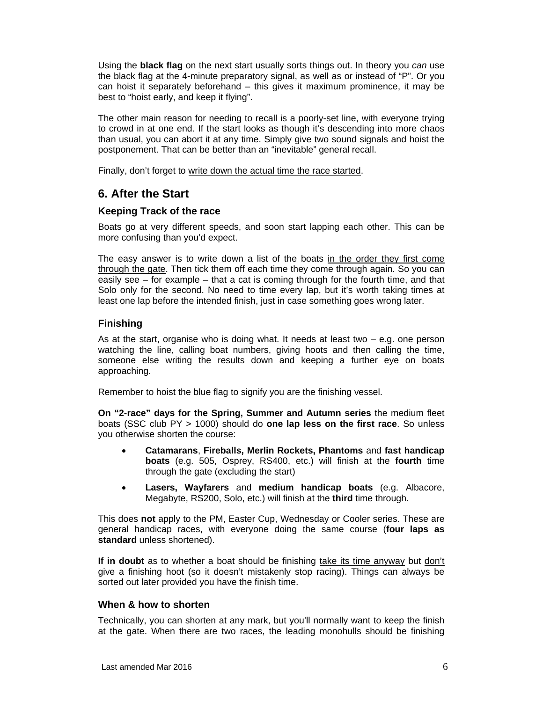Using the **black flag** on the next start usually sorts things out. In theory you *can* use the black flag at the 4-minute preparatory signal, as well as or instead of "P". Or you can hoist it separately beforehand – this gives it maximum prominence, it may be best to "hoist early, and keep it flying".

The other main reason for needing to recall is a poorly-set line, with everyone trying to crowd in at one end. If the start looks as though it's descending into more chaos than usual, you can abort it at any time. Simply give two sound signals and hoist the postponement. That can be better than an "inevitable" general recall.

Finally, don't forget to write down the actual time the race started.

# **6. After the Start**

### **Keeping Track of the race**

Boats go at very different speeds, and soon start lapping each other. This can be more confusing than you'd expect.

The easy answer is to write down a list of the boats in the order they first come through the gate. Then tick them off each time they come through again. So you can easily see – for example – that a cat is coming through for the fourth time, and that Solo only for the second. No need to time every lap, but it's worth taking times at least one lap before the intended finish, just in case something goes wrong later.

### **Finishing**

As at the start, organise who is doing what. It needs at least two – e.g. one person watching the line, calling boat numbers, giving hoots and then calling the time, someone else writing the results down and keeping a further eye on boats approaching.

Remember to hoist the blue flag to signify you are the finishing vessel.

**On "2-race" days for the Spring, Summer and Autumn series** the medium fleet boats (SSC club PY > 1000) should do **one lap less on the first race**. So unless you otherwise shorten the course:

- **Catamarans**, **Fireballs, Merlin Rockets, Phantoms** and **fast handicap boats** (e.g. 505, Osprey, RS400, etc.) will finish at the **fourth** time through the gate (excluding the start)
- **Lasers, Wayfarers** and **medium handicap boats** (e.g. Albacore, Megabyte, RS200, Solo, etc.) will finish at the **third** time through.

This does **not** apply to the PM, Easter Cup, Wednesday or Cooler series. These are general handicap races, with everyone doing the same course (**four laps as standard** unless shortened).

**If in doubt** as to whether a boat should be finishing take its time anyway but don't give a finishing hoot (so it doesn't mistakenly stop racing). Things can always be sorted out later provided you have the finish time.

### **When & how to shorten**

Technically, you can shorten at any mark, but you'll normally want to keep the finish at the gate. When there are two races, the leading monohulls should be finishing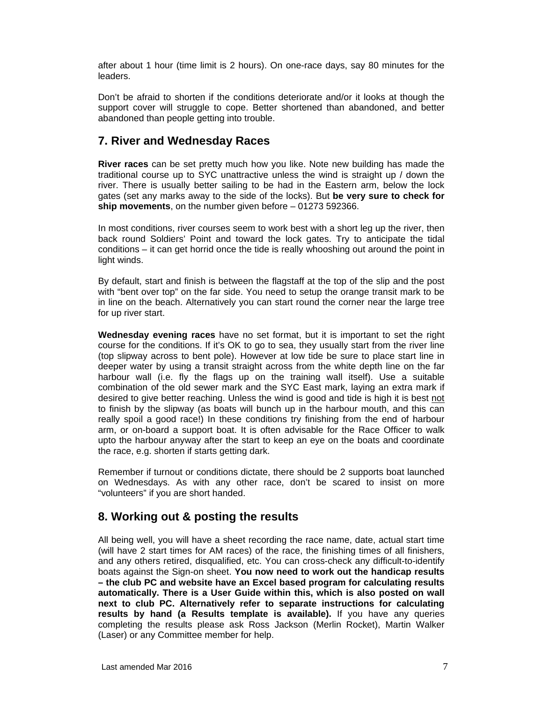after about 1 hour (time limit is 2 hours). On one-race days, say 80 minutes for the leaders.

Don't be afraid to shorten if the conditions deteriorate and/or it looks at though the support cover will struggle to cope. Better shortened than abandoned, and better abandoned than people getting into trouble.

# **7. River and Wednesday Races**

**River races** can be set pretty much how you like. Note new building has made the traditional course up to SYC unattractive unless the wind is straight up / down the river. There is usually better sailing to be had in the Eastern arm, below the lock gates (set any marks away to the side of the locks). But **be very sure to check for ship movements**, on the number given before – 01273 592366.

In most conditions, river courses seem to work best with a short leg up the river, then back round Soldiers' Point and toward the lock gates. Try to anticipate the tidal conditions – it can get horrid once the tide is really whooshing out around the point in light winds.

By default, start and finish is between the flagstaff at the top of the slip and the post with "bent over top" on the far side. You need to setup the orange transit mark to be in line on the beach. Alternatively you can start round the corner near the large tree for up river start.

**Wednesday evening races** have no set format, but it is important to set the right course for the conditions. If it's OK to go to sea, they usually start from the river line (top slipway across to bent pole). However at low tide be sure to place start line in deeper water by using a transit straight across from the white depth line on the far harbour wall (i.e. fly the flags up on the training wall itself). Use a suitable combination of the old sewer mark and the SYC East mark, laying an extra mark if desired to give better reaching. Unless the wind is good and tide is high it is best not to finish by the slipway (as boats will bunch up in the harbour mouth, and this can really spoil a good race!) In these conditions try finishing from the end of harbour arm, or on-board a support boat. It is often advisable for the Race Officer to walk upto the harbour anyway after the start to keep an eye on the boats and coordinate the race, e.g. shorten if starts getting dark.

Remember if turnout or conditions dictate, there should be 2 supports boat launched on Wednesdays. As with any other race, don't be scared to insist on more "volunteers" if you are short handed.

## **8. Working out & posting the results**

All being well, you will have a sheet recording the race name, date, actual start time (will have 2 start times for AM races) of the race, the finishing times of all finishers, and any others retired, disqualified, etc. You can cross-check any difficult-to-identify boats against the Sign-on sheet. **You now need to work out the handicap results – the club PC and website have an Excel based program for calculating results automatically. There is a User Guide within this, which is also posted on wall next to club PC. Alternatively refer to separate instructions for calculating results by hand (a Results template is available).** If you have any queries completing the results please ask Ross Jackson (Merlin Rocket), Martin Walker (Laser) or any Committee member for help.